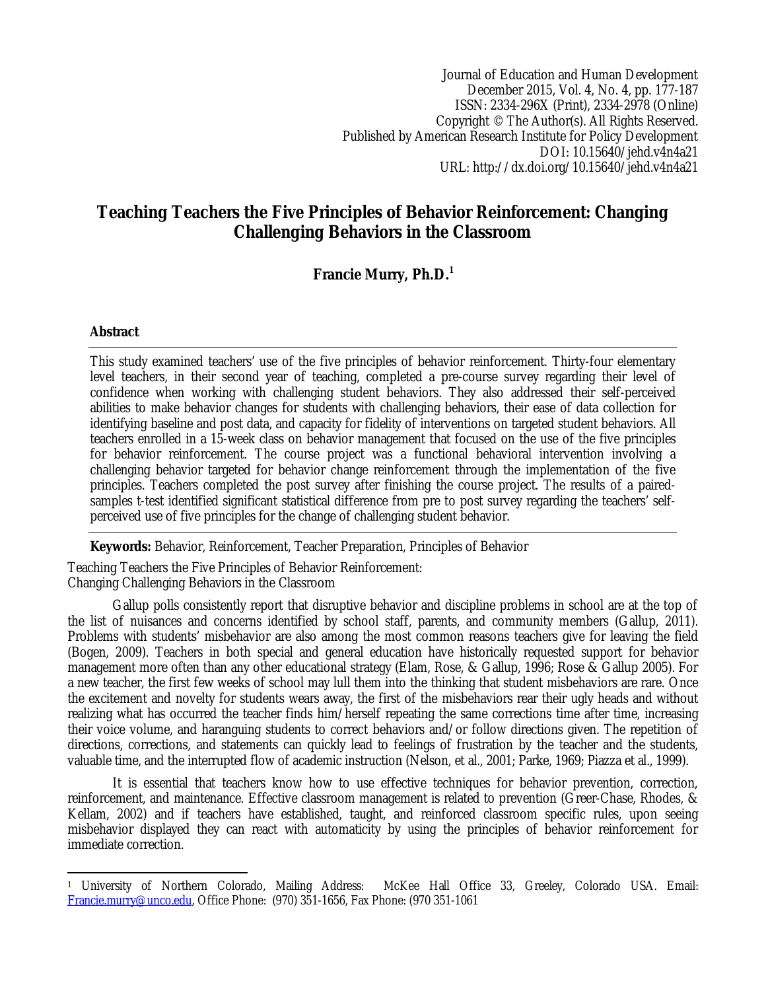Journal of Education and Human Development December 2015, Vol. 4, No. 4, pp. 177-187 ISSN: 2334-296X (Print), 2334-2978 (Online) Copyright © The Author(s). All Rights Reserved. Published by American Research Institute for Policy Development DOI: 10.15640/jehd.v4n4a21 URL: http://dx.doi.org/10.15640/jehd.v4n4a21

# **Teaching Teachers the Five Principles of Behavior Reinforcement: Changing Challenging Behaviors in the Classroom**

## **Francie Murry, Ph.D.<sup>1</sup>**

### **Abstract**

This study examined teachers' use of the five principles of behavior reinforcement. Thirty-four elementary level teachers, in their second year of teaching, completed a pre-course survey regarding their level of confidence when working with challenging student behaviors. They also addressed their self-perceived abilities to make behavior changes for students with challenging behaviors, their ease of data collection for identifying baseline and post data, and capacity for fidelity of interventions on targeted student behaviors. All teachers enrolled in a 15-week class on behavior management that focused on the use of the five principles for behavior reinforcement. The course project was a functional behavioral intervention involving a challenging behavior targeted for behavior change reinforcement through the implementation of the five principles. Teachers completed the post survey after finishing the course project. The results of a pairedsamples t-test identified significant statistical difference from pre to post survey regarding the teachers' selfperceived use of five principles for the change of challenging student behavior.

**Keywords:** Behavior, Reinforcement, Teacher Preparation, Principles of Behavior

Teaching Teachers the Five Principles of Behavior Reinforcement: Changing Challenging Behaviors in the Classroom

Gallup polls consistently report that disruptive behavior and discipline problems in school are at the top of the list of nuisances and concerns identified by school staff, parents, and community members (Gallup, 2011). Problems with students' misbehavior are also among the most common reasons teachers give for leaving the field (Bogen, 2009). Teachers in both special and general education have historically requested support for behavior management more often than any other educational strategy (Elam, Rose, & Gallup, 1996; Rose & Gallup 2005). For a new teacher, the first few weeks of school may lull them into the thinking that student misbehaviors are rare. Once the excitement and novelty for students wears away, the first of the misbehaviors rear their ugly heads and without realizing what has occurred the teacher finds him/herself repeating the same corrections time after time, increasing their voice volume, and haranguing students to correct behaviors and/or follow directions given. The repetition of directions, corrections, and statements can quickly lead to feelings of frustration by the teacher and the students, valuable time, and the interrupted flow of academic instruction (Nelson, et al., 2001; Parke, 1969; Piazza et al., 1999).

It is essential that teachers know how to use effective techniques for behavior prevention, correction, reinforcement, and maintenance. Effective classroom management is related to prevention (Greer-Chase, Rhodes, & Kellam, 2002) and if teachers have established, taught, and reinforced classroom specific rules, upon seeing misbehavior displayed they can react with automaticity by using the principles of behavior reinforcement for immediate correction.

 $\overline{a}$ <sup>1</sup> University of Northern Colorado, Mailing Address: McKee Hall Office 33, Greeley, Colorado USA. Email: Francie.murry@unco.edu, Office Phone: (970) 351-1656, Fax Phone: (970 351-1061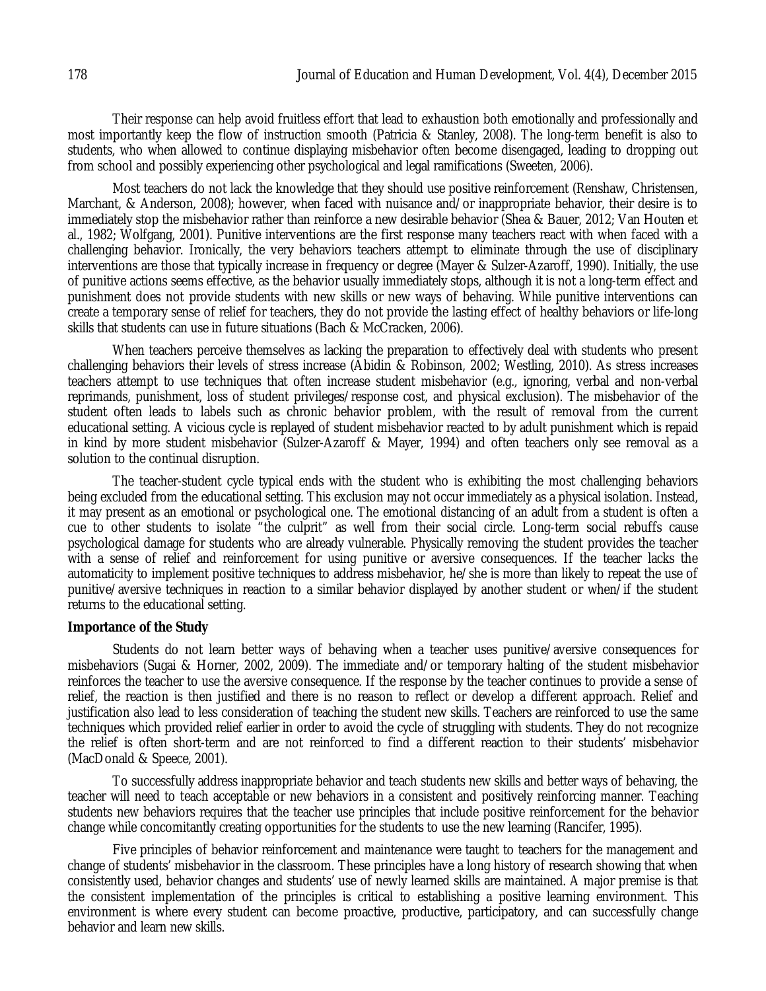Their response can help avoid fruitless effort that lead to exhaustion both emotionally and professionally and most importantly keep the flow of instruction smooth (Patricia & Stanley, 2008). The long-term benefit is also to students, who when allowed to continue displaying misbehavior often become disengaged, leading to dropping out from school and possibly experiencing other psychological and legal ramifications (Sweeten, 2006).

Most teachers do not lack the knowledge that they should use positive reinforcement (Renshaw, Christensen, Marchant, & Anderson, 2008); however, when faced with nuisance and/or inappropriate behavior, their desire is to immediately stop the misbehavior rather than reinforce a new desirable behavior (Shea & Bauer, 2012; Van Houten et al., 1982; Wolfgang, 2001). Punitive interventions are the first response many teachers react with when faced with a challenging behavior. Ironically, the very behaviors teachers attempt to eliminate through the use of disciplinary interventions are those that typically increase in frequency or degree (Mayer & Sulzer-Azaroff, 1990). Initially, the use of punitive actions seems effective, as the behavior usually immediately stops, although it is not a long-term effect and punishment does not provide students with new skills or new ways of behaving. While punitive interventions can create a temporary sense of relief for teachers, they do not provide the lasting effect of healthy behaviors or life-long skills that students can use in future situations (Bach & McCracken, 2006).

When teachers perceive themselves as lacking the preparation to effectively deal with students who present challenging behaviors their levels of stress increase (Abidin & Robinson, 2002; Westling, 2010). As stress increases teachers attempt to use techniques that often increase student misbehavior (e.g., ignoring, verbal and non-verbal reprimands, punishment, loss of student privileges/response cost, and physical exclusion). The misbehavior of the student often leads to labels such as chronic behavior problem, with the result of removal from the current educational setting. A vicious cycle is replayed of student misbehavior reacted to by adult punishment which is repaid in kind by more student misbehavior (Sulzer-Azaroff & Mayer, 1994) and often teachers only see removal as a solution to the continual disruption.

The teacher-student cycle typical ends with the student who is exhibiting the most challenging behaviors being excluded from the educational setting. This exclusion may not occur immediately as a physical isolation. Instead, it may present as an emotional or psychological one. The emotional distancing of an adult from a student is often a cue to other students to isolate "the culprit" as well from their social circle. Long-term social rebuffs cause psychological damage for students who are already vulnerable. Physically removing the student provides the teacher with a sense of relief and reinforcement for using punitive or aversive consequences. If the teacher lacks the automaticity to implement positive techniques to address misbehavior, he/she is more than likely to repeat the use of punitive/aversive techniques in reaction to a similar behavior displayed by another student or when/if the student returns to the educational setting.

### **Importance of the Study**

Students do not learn better ways of behaving when a teacher uses punitive/aversive consequences for misbehaviors (Sugai & Horner, 2002, 2009). The immediate and/or temporary halting of the student misbehavior reinforces the teacher to use the aversive consequence. If the response by the teacher continues to provide a sense of relief, the reaction is then justified and there is no reason to reflect or develop a different approach. Relief and justification also lead to less consideration of teaching the student new skills. Teachers are reinforced to use the same techniques which provided relief earlier in order to avoid the cycle of struggling with students. They do not recognize the relief is often short-term and are not reinforced to find a different reaction to their students' misbehavior (MacDonald & Speece, 2001).

To successfully address inappropriate behavior and teach students new skills and better ways of behaving, the teacher will need to teach acceptable or new behaviors in a consistent and positively reinforcing manner. Teaching students new behaviors requires that the teacher use principles that include positive reinforcement for the behavior change while concomitantly creating opportunities for the students to use the new learning (Rancifer, 1995).

Five principles of behavior reinforcement and maintenance were taught to teachers for the management and change of students' misbehavior in the classroom. These principles have a long history of research showing that when consistently used, behavior changes and students' use of newly learned skills are maintained. A major premise is that the consistent implementation of the principles is critical to establishing a positive learning environment. This environment is where every student can become proactive, productive, participatory, and can successfully change behavior and learn new skills.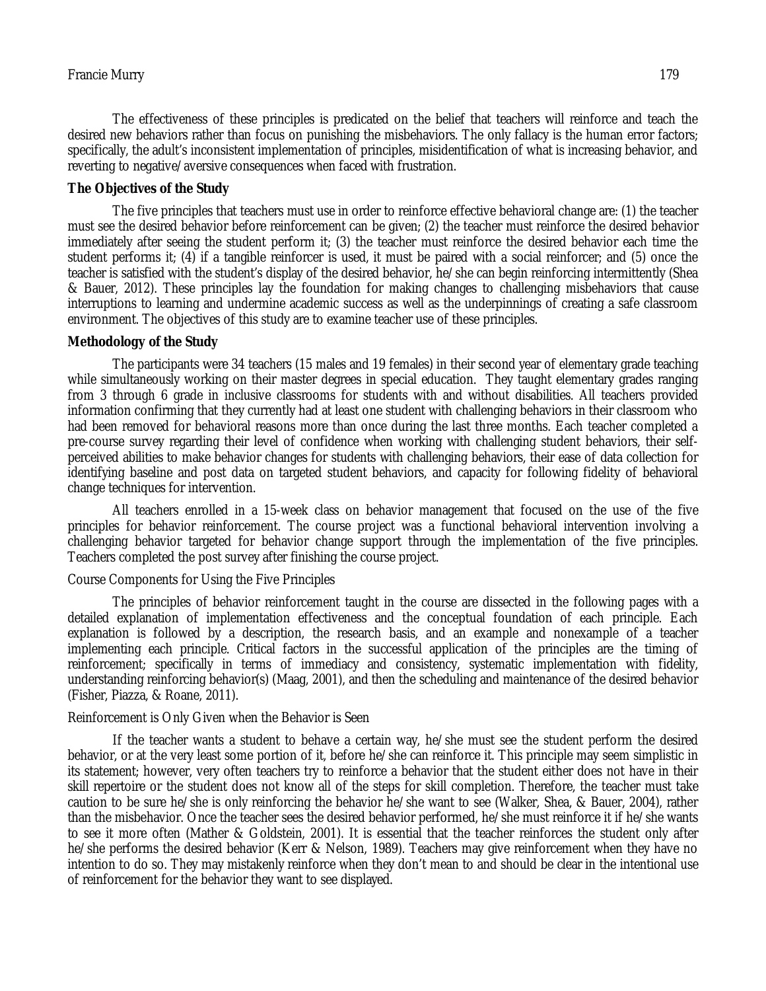The effectiveness of these principles is predicated on the belief that teachers will reinforce and teach the desired new behaviors rather than focus on punishing the misbehaviors. The only fallacy is the human error factors; specifically, the adult's inconsistent implementation of principles, misidentification of what is increasing behavior, and reverting to negative/aversive consequences when faced with frustration.

### **The Objectives of the Study**

The five principles that teachers must use in order to reinforce effective behavioral change are: (1) the teacher must see the desired behavior before reinforcement can be given; (2) the teacher must reinforce the desired behavior immediately after seeing the student perform it; (3) the teacher must reinforce the desired behavior each time the student performs it; (4) if a tangible reinforcer is used, it must be paired with a social reinforcer; and (5) once the teacher is satisfied with the student's display of the desired behavior, he/she can begin reinforcing intermittently (Shea & Bauer, 2012). These principles lay the foundation for making changes to challenging misbehaviors that cause interruptions to learning and undermine academic success as well as the underpinnings of creating a safe classroom environment. The objectives of this study are to examine teacher use of these principles.

### **Methodology of the Study**

The participants were 34 teachers (15 males and 19 females) in their second year of elementary grade teaching while simultaneously working on their master degrees in special education. They taught elementary grades ranging from 3 through 6 grade in inclusive classrooms for students with and without disabilities. All teachers provided information confirming that they currently had at least one student with challenging behaviors in their classroom who had been removed for behavioral reasons more than once during the last three months. Each teacher completed a pre-course survey regarding their level of confidence when working with challenging student behaviors, their selfperceived abilities to make behavior changes for students with challenging behaviors, their ease of data collection for identifying baseline and post data on targeted student behaviors, and capacity for following fidelity of behavioral change techniques for intervention.

All teachers enrolled in a 15-week class on behavior management that focused on the use of the five principles for behavior reinforcement. The course project was a functional behavioral intervention involving a challenging behavior targeted for behavior change support through the implementation of the five principles. Teachers completed the post survey after finishing the course project.

### Course Components for Using the Five Principles

The principles of behavior reinforcement taught in the course are dissected in the following pages with a detailed explanation of implementation effectiveness and the conceptual foundation of each principle. Each explanation is followed by a description, the research basis, and an example and nonexample of a teacher implementing each principle. Critical factors in the successful application of the principles are the timing of reinforcement; specifically in terms of immediacy and consistency, systematic implementation with fidelity, understanding reinforcing behavior(s) (Maag, 2001), and then the scheduling and maintenance of the desired behavior (Fisher, Piazza, & Roane, 2011).

### Reinforcement is Only Given when the Behavior is Seen

If the teacher wants a student to behave a certain way, he/she must see the student perform the desired behavior, or at the very least some portion of it, before he/she can reinforce it. This principle may seem simplistic in its statement; however, very often teachers try to reinforce a behavior that the student either does not have in their skill repertoire or the student does not know all of the steps for skill completion. Therefore, the teacher must take caution to be sure he/she is only reinforcing the behavior he/she want to see (Walker, Shea, & Bauer, 2004), rather than the misbehavior. Once the teacher sees the desired behavior performed, he/she must reinforce it if he/she wants to see it more often (Mather & Goldstein, 2001). It is essential that the teacher reinforces the student only after he/she performs the desired behavior (Kerr & Nelson, 1989). Teachers may give reinforcement when they have no intention to do so. They may mistakenly reinforce when they don't mean to and should be clear in the intentional use of reinforcement for the behavior they want to see displayed.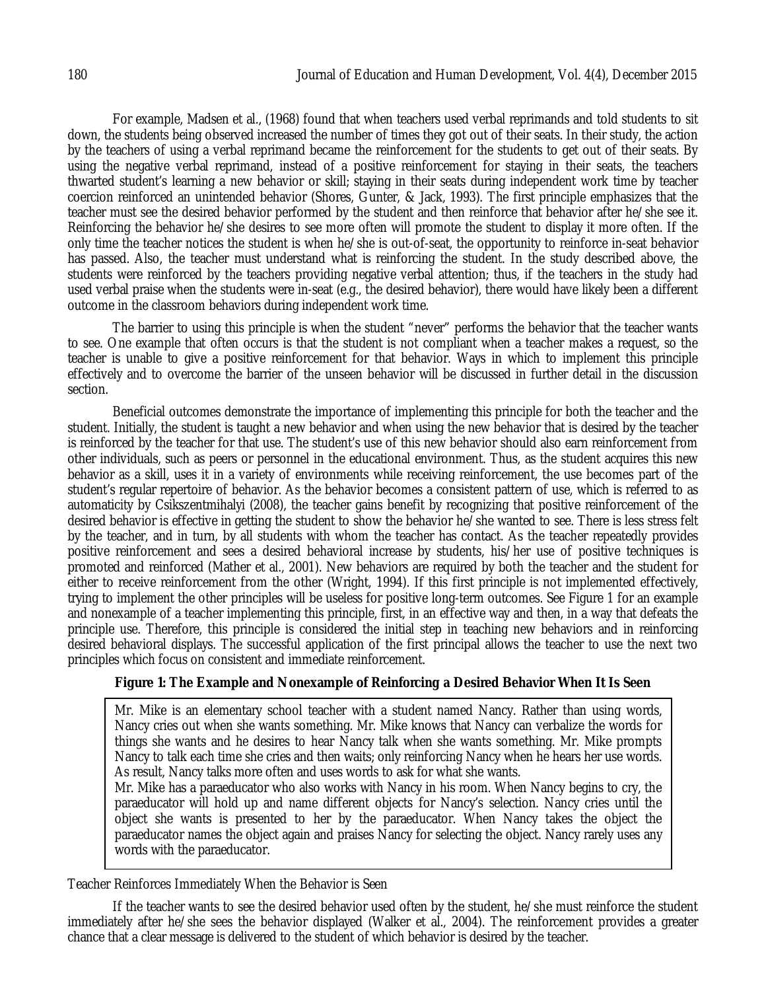For example, Madsen et al., (1968) found that when teachers used verbal reprimands and told students to sit down, the students being observed increased the number of times they got out of their seats. In their study, the action by the teachers of using a verbal reprimand became the reinforcement for the students to get out of their seats. By using the negative verbal reprimand, instead of a positive reinforcement for staying in their seats, the teachers thwarted student's learning a new behavior or skill; staying in their seats during independent work time by teacher coercion reinforced an unintended behavior (Shores, Gunter, & Jack, 1993). The first principle emphasizes that the teacher must see the desired behavior performed by the student and then reinforce that behavior after he/she see it. Reinforcing the behavior he/she desires to see more often will promote the student to display it more often. If the only time the teacher notices the student is when he/she is out-of-seat, the opportunity to reinforce in-seat behavior has passed. Also, the teacher must understand what is reinforcing the student. In the study described above, the students were reinforced by the teachers providing negative verbal attention; thus, if the teachers in the study had used verbal praise when the students were in-seat (e.g., the desired behavior), there would have likely been a different outcome in the classroom behaviors during independent work time.

The barrier to using this principle is when the student "never" performs the behavior that the teacher wants to see. One example that often occurs is that the student is not compliant when a teacher makes a request, so the teacher is unable to give a positive reinforcement for that behavior. Ways in which to implement this principle effectively and to overcome the barrier of the unseen behavior will be discussed in further detail in the discussion section.

Beneficial outcomes demonstrate the importance of implementing this principle for both the teacher and the student. Initially, the student is taught a new behavior and when using the new behavior that is desired by the teacher is reinforced by the teacher for that use. The student's use of this new behavior should also earn reinforcement from other individuals, such as peers or personnel in the educational environment. Thus, as the student acquires this new behavior as a skill, uses it in a variety of environments while receiving reinforcement, the use becomes part of the student's regular repertoire of behavior. As the behavior becomes a consistent pattern of use, which is referred to as automaticity by Csikszentmihalyi (2008), the teacher gains benefit by recognizing that positive reinforcement of the desired behavior is effective in getting the student to show the behavior he/she wanted to see. There is less stress felt by the teacher, and in turn, by all students with whom the teacher has contact. As the teacher repeatedly provides positive reinforcement and sees a desired behavioral increase by students, his/her use of positive techniques is promoted and reinforced (Mather et al., 2001). New behaviors are required by both the teacher and the student for either to receive reinforcement from the other (Wright, 1994). If this first principle is not implemented effectively, trying to implement the other principles will be useless for positive long-term outcomes. See Figure 1 for an example and nonexample of a teacher implementing this principle, first, in an effective way and then, in a way that defeats the principle use. Therefore, this principle is considered the initial step in teaching new behaviors and in reinforcing desired behavioral displays. The successful application of the first principal allows the teacher to use the next two principles which focus on consistent and immediate reinforcement.

### **Figure 1: The Example and Nonexample of Reinforcing a Desired Behavior When It Is Seen**

Mr. Mike is an elementary school teacher with a student named Nancy. Rather than using words, Nancy cries out when she wants something. Mr. Mike knows that Nancy can verbalize the words for things she wants and he desires to hear Nancy talk when she wants something. Mr. Mike prompts Nancy to talk each time she cries and then waits; only reinforcing Nancy when he hears her use words. As result, Nancy talks more often and uses words to ask for what she wants.

Mr. Mike has a paraeducator who also works with Nancy in his room. When Nancy begins to cry, the paraeducator will hold up and name different objects for Nancy's selection. Nancy cries until the object she wants is presented to her by the paraeducator. When Nancy takes the object the paraeducator names the object again and praises Nancy for selecting the object. Nancy rarely uses any words with the paraeducator.

Teacher Reinforces Immediately When the Behavior is Seen

If the teacher wants to see the desired behavior used often by the student, he/she must reinforce the student immediately after he/she sees the behavior displayed (Walker et al., 2004). The reinforcement provides a greater chance that a clear message is delivered to the student of which behavior is desired by the teacher.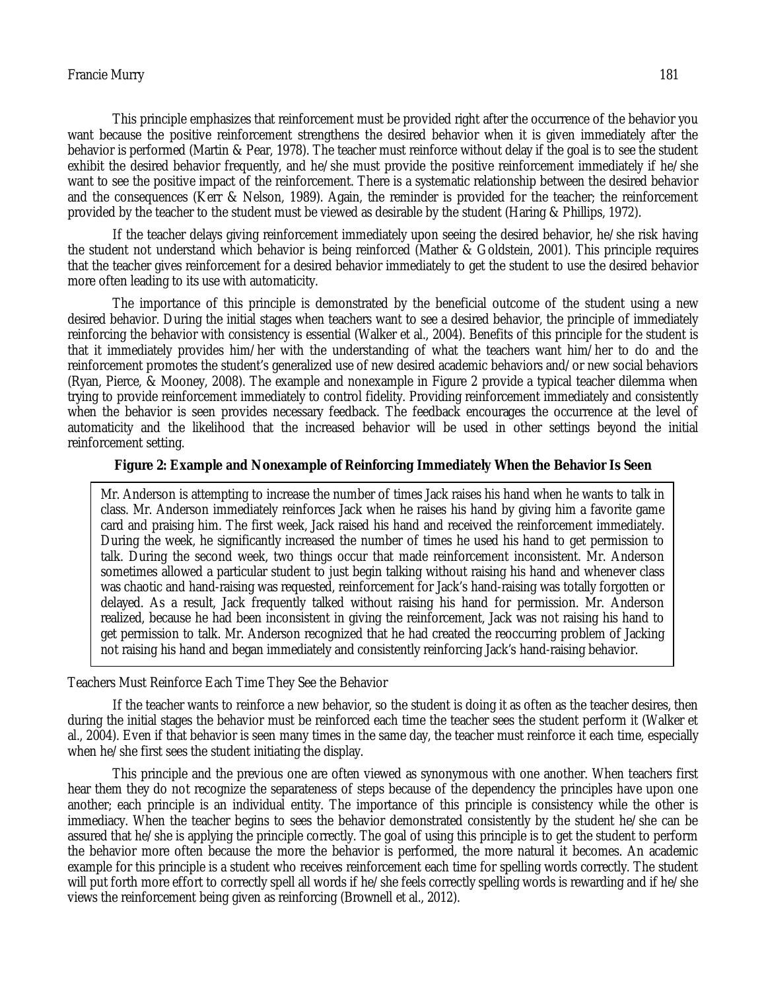#### Francie Murry 181

This principle emphasizes that reinforcement must be provided right after the occurrence of the behavior you want because the positive reinforcement strengthens the desired behavior when it is given immediately after the behavior is performed (Martin & Pear, 1978). The teacher must reinforce without delay if the goal is to see the student exhibit the desired behavior frequently, and he/she must provide the positive reinforcement immediately if he/she want to see the positive impact of the reinforcement. There is a systematic relationship between the desired behavior and the consequences (Kerr & Nelson, 1989). Again, the reminder is provided for the teacher; the reinforcement provided by the teacher to the student must be viewed as desirable by the student (Haring & Phillips, 1972).

If the teacher delays giving reinforcement immediately upon seeing the desired behavior, he/she risk having the student not understand which behavior is being reinforced (Mather & Goldstein, 2001). This principle requires that the teacher gives reinforcement for a desired behavior immediately to get the student to use the desired behavior more often leading to its use with automaticity.

The importance of this principle is demonstrated by the beneficial outcome of the student using a new desired behavior. During the initial stages when teachers want to see a desired behavior, the principle of immediately reinforcing the behavior with consistency is essential (Walker et al., 2004). Benefits of this principle for the student is that it immediately provides him/her with the understanding of what the teachers want him/her to do and the reinforcement promotes the student's generalized use of new desired academic behaviors and/or new social behaviors (Ryan, Pierce, & Mooney, 2008). The example and nonexample in Figure 2 provide a typical teacher dilemma when trying to provide reinforcement immediately to control fidelity. Providing reinforcement immediately and consistently when the behavior is seen provides necessary feedback. The feedback encourages the occurrence at the level of automaticity and the likelihood that the increased behavior will be used in other settings beyond the initial reinforcement setting.

#### **Figure 2: Example and Nonexample of Reinforcing Immediately When the Behavior Is Seen**

Mr. Anderson is attempting to increase the number of times Jack raises his hand when he wants to talk in class. Mr. Anderson immediately reinforces Jack when he raises his hand by giving him a favorite game card and praising him. The first week, Jack raised his hand and received the reinforcement immediately. During the week, he significantly increased the number of times he used his hand to get permission to talk. During the second week, two things occur that made reinforcement inconsistent. Mr. Anderson sometimes allowed a particular student to just begin talking without raising his hand and whenever class was chaotic and hand-raising was requested, reinforcement for Jack's hand-raising was totally forgotten or delayed. As a result, Jack frequently talked without raising his hand for permission. Mr. Anderson realized, because he had been inconsistent in giving the reinforcement, Jack was not raising his hand to get permission to talk. Mr. Anderson recognized that he had created the reoccurring problem of Jacking not raising his hand and began immediately and consistently reinforcing Jack's hand-raising behavior.

Teachers Must Reinforce Each Time They See the Behavior

If the teacher wants to reinforce a new behavior, so the student is doing it as often as the teacher desires, then during the initial stages the behavior must be reinforced each time the teacher sees the student perform it (Walker et al., 2004). Even if that behavior is seen many times in the same day, the teacher must reinforce it each time, especially when he/she first sees the student initiating the display.

This principle and the previous one are often viewed as synonymous with one another. When teachers first hear them they do not recognize the separateness of steps because of the dependency the principles have upon one another; each principle is an individual entity. The importance of this principle is consistency while the other is immediacy. When the teacher begins to sees the behavior demonstrated consistently by the student he/she can be assured that he/she is applying the principle correctly. The goal of using this principle is to get the student to perform the behavior more often because the more the behavior is performed, the more natural it becomes. An academic example for this principle is a student who receives reinforcement each time for spelling words correctly. The student will put forth more effort to correctly spell all words if he/she feels correctly spelling words is rewarding and if he/she views the reinforcement being given as reinforcing (Brownell et al., 2012).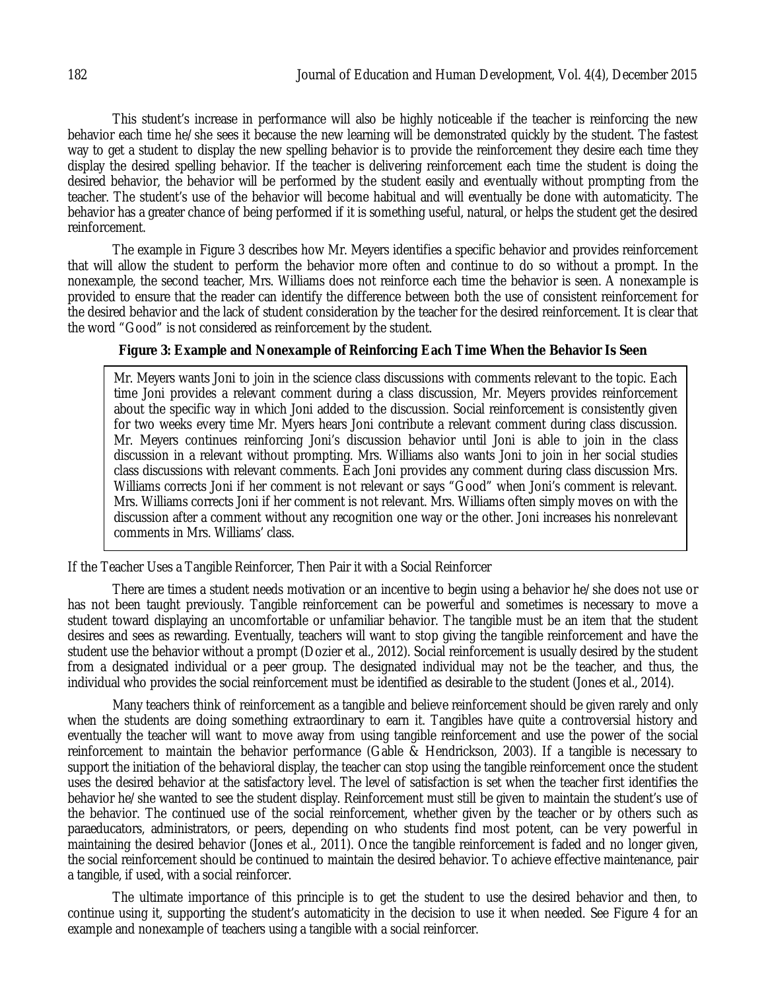This student's increase in performance will also be highly noticeable if the teacher is reinforcing the new behavior each time he/she sees it because the new learning will be demonstrated quickly by the student. The fastest way to get a student to display the new spelling behavior is to provide the reinforcement they desire each time they display the desired spelling behavior. If the teacher is delivering reinforcement each time the student is doing the desired behavior, the behavior will be performed by the student easily and eventually without prompting from the teacher. The student's use of the behavior will become habitual and will eventually be done with automaticity. The behavior has a greater chance of being performed if it is something useful, natural, or helps the student get the desired reinforcement.

The example in Figure 3 describes how Mr. Meyers identifies a specific behavior and provides reinforcement that will allow the student to perform the behavior more often and continue to do so without a prompt. In the nonexample, the second teacher, Mrs. Williams does not reinforce each time the behavior is seen. A nonexample is provided to ensure that the reader can identify the difference between both the use of consistent reinforcement for the desired behavior and the lack of student consideration by the teacher for the desired reinforcement. It is clear that the word "Good" is not considered as reinforcement by the student.

### **Figure 3: Example and Nonexample of Reinforcing Each Time When the Behavior Is Seen**

Mr. Meyers wants Joni to join in the science class discussions with comments relevant to the topic. Each time Joni provides a relevant comment during a class discussion, Mr. Meyers provides reinforcement about the specific way in which Joni added to the discussion. Social reinforcement is consistently given for two weeks every time Mr. Myers hears Joni contribute a relevant comment during class discussion. Mr. Meyers continues reinforcing Joni's discussion behavior until Joni is able to join in the class discussion in a relevant without prompting. Mrs. Williams also wants Joni to join in her social studies class discussions with relevant comments. Each Joni provides any comment during class discussion Mrs. Williams corrects Joni if her comment is not relevant or says "Good" when Joni's comment is relevant. Mrs. Williams corrects Joni if her comment is not relevant. Mrs. Williams often simply moves on with the discussion after a comment without any recognition one way or the other. Joni increases his nonrelevant comments in Mrs. Williams' class.

If the Teacher Uses a Tangible Reinforcer, Then Pair it with a Social Reinforcer

There are times a student needs motivation or an incentive to begin using a behavior he/she does not use or has not been taught previously. Tangible reinforcement can be powerful and sometimes is necessary to move a student toward displaying an uncomfortable or unfamiliar behavior. The tangible must be an item that the student desires and sees as rewarding. Eventually, teachers will want to stop giving the tangible reinforcement and have the student use the behavior without a prompt (Dozier et al., 2012). Social reinforcement is usually desired by the student from a designated individual or a peer group. The designated individual may not be the teacher, and thus, the individual who provides the social reinforcement must be identified as desirable to the student (Jones et al., 2014).

Many teachers think of reinforcement as a tangible and believe reinforcement should be given rarely and only when the students are doing something extraordinary to earn it. Tangibles have quite a controversial history and eventually the teacher will want to move away from using tangible reinforcement and use the power of the social reinforcement to maintain the behavior performance (Gable & Hendrickson, 2003). If a tangible is necessary to support the initiation of the behavioral display, the teacher can stop using the tangible reinforcement once the student uses the desired behavior at the satisfactory level. The level of satisfaction is set when the teacher first identifies the behavior he/she wanted to see the student display. Reinforcement must still be given to maintain the student's use of the behavior. The continued use of the social reinforcement, whether given by the teacher or by others such as paraeducators, administrators, or peers, depending on who students find most potent, can be very powerful in maintaining the desired behavior (Jones et al., 2011). Once the tangible reinforcement is faded and no longer given, the social reinforcement should be continued to maintain the desired behavior. To achieve effective maintenance, pair a tangible, if used, with a social reinforcer.

The ultimate importance of this principle is to get the student to use the desired behavior and then, to continue using it, supporting the student's automaticity in the decision to use it when needed. See Figure 4 for an example and nonexample of teachers using a tangible with a social reinforcer.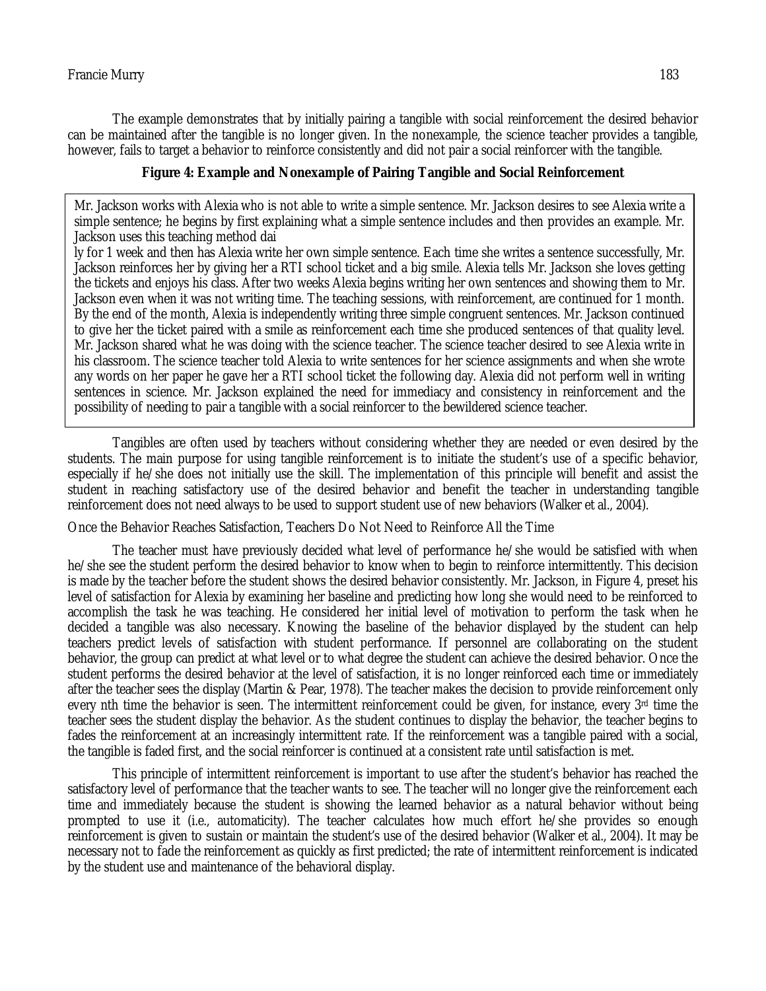The example demonstrates that by initially pairing a tangible with social reinforcement the desired behavior can be maintained after the tangible is no longer given. In the nonexample, the science teacher provides a tangible, however, fails to target a behavior to reinforce consistently and did not pair a social reinforcer with the tangible.

### **Figure 4: Example and Nonexample of Pairing Tangible and Social Reinforcement**

simple sentence; he begins by first explaining what a simple sentence includes and then provides an example. Mr. Mr. Jackson works with Alexia who is not able to write a simple sentence. Mr. Jackson desires to see Alexia write a Jackson uses this teaching method dai

ly for 1 week and then has Alexia write her own simple sentence. Each time she writes a sentence successfully, Mr. Jackson reinforces her by giving her a RTI school ticket and a big smile. Alexia tells Mr. Jackson she loves getting the tickets and enjoys his class. After two weeks Alexia begins writing her own sentences and showing them to Mr. Jackson even when it was not writing time. The teaching sessions, with reinforcement, are continued for 1 month. By the end of the month, Alexia is independently writing three simple congruent sentences. Mr. Jackson continued to give her the ticket paired with a smile as reinforcement each time she produced sentences of that quality level. Mr. Jackson shared what he was doing with the science teacher. The science teacher desired to see Alexia write in his classroom. The science teacher told Alexia to write sentences for her science assignments and when she wrote any words on her paper he gave her a RTI school ticket the following day. Alexia did not perform well in writing sentences in science. Mr. Jackson explained the need for immediacy and consistency in reinforcement and the possibility of needing to pair a tangible with a social reinforcer to the bewildered science teacher.

Tangibles are often used by teachers without considering whether they are needed or even desired by the students. The main purpose for using tangible reinforcement is to initiate the student's use of a specific behavior, especially if he/she does not initially use the skill. The implementation of this principle will benefit and assist the student in reaching satisfactory use of the desired behavior and benefit the teacher in understanding tangible reinforcement does not need always to be used to support student use of new behaviors (Walker et al., 2004).

Once the Behavior Reaches Satisfaction, Teachers Do Not Need to Reinforce All the Time

The teacher must have previously decided what level of performance he/she would be satisfied with when he/she see the student perform the desired behavior to know when to begin to reinforce intermittently. This decision is made by the teacher before the student shows the desired behavior consistently. Mr. Jackson, in Figure 4, preset his level of satisfaction for Alexia by examining her baseline and predicting how long she would need to be reinforced to accomplish the task he was teaching. He considered her initial level of motivation to perform the task when he decided a tangible was also necessary. Knowing the baseline of the behavior displayed by the student can help teachers predict levels of satisfaction with student performance. If personnel are collaborating on the student behavior, the group can predict at what level or to what degree the student can achieve the desired behavior. Once the student performs the desired behavior at the level of satisfaction, it is no longer reinforced each time or immediately after the teacher sees the display (Martin & Pear, 1978). The teacher makes the decision to provide reinforcement only every nth time the behavior is seen. The intermittent reinforcement could be given, for instance, every  $3<sup>rd</sup>$  time the teacher sees the student display the behavior. As the student continues to display the behavior, the teacher begins to fades the reinforcement at an increasingly intermittent rate. If the reinforcement was a tangible paired with a social, the tangible is faded first, and the social reinforcer is continued at a consistent rate until satisfaction is met.

This principle of intermittent reinforcement is important to use after the student's behavior has reached the satisfactory level of performance that the teacher wants to see. The teacher will no longer give the reinforcement each time and immediately because the student is showing the learned behavior as a natural behavior without being prompted to use it (i.e., automaticity). The teacher calculates how much effort he/she provides so enough reinforcement is given to sustain or maintain the student's use of the desired behavior (Walker et al., 2004). It may be necessary not to fade the reinforcement as quickly as first predicted; the rate of intermittent reinforcement is indicated by the student use and maintenance of the behavioral display.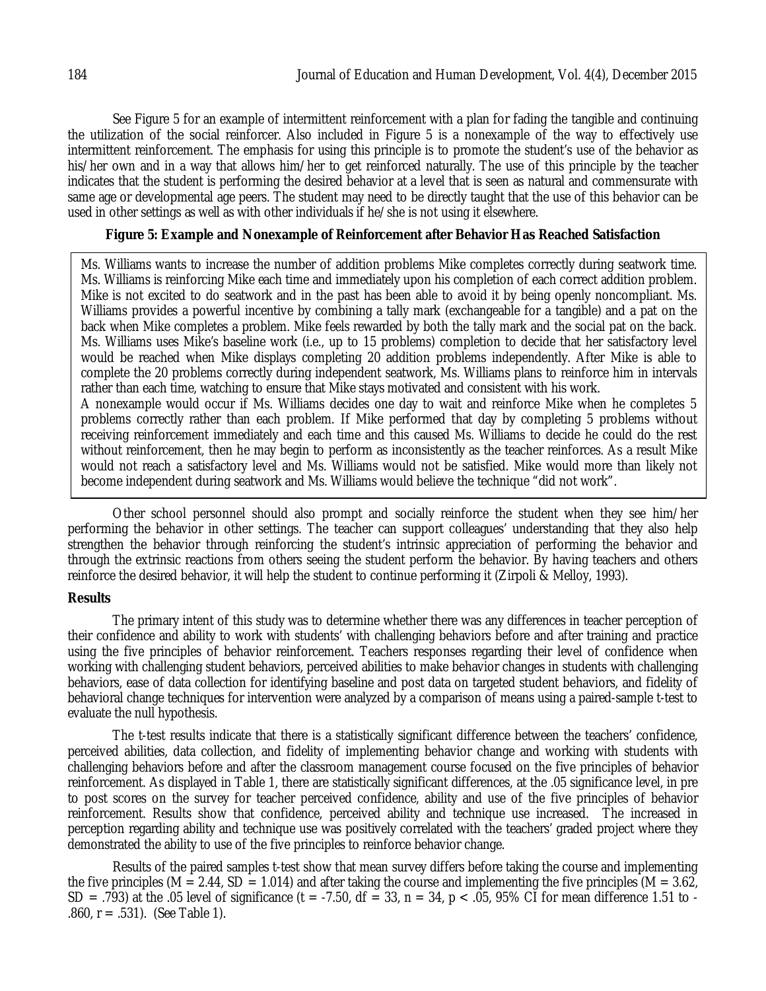See Figure 5 for an example of intermittent reinforcement with a plan for fading the tangible and continuing the utilization of the social reinforcer. Also included in Figure 5 is a nonexample of the way to effectively use intermittent reinforcement. The emphasis for using this principle is to promote the student's use of the behavior as his/her own and in a way that allows him/her to get reinforced naturally. The use of this principle by the teacher indicates that the student is performing the desired behavior at a level that is seen as natural and commensurate with same age or developmental age peers. The student may need to be directly taught that the use of this behavior can be used in other settings as well as with other individuals if he/she is not using it elsewhere.

### **Figure 5: Example and Nonexample of Reinforcement after Behavior Has Reached Satisfaction**

Ms. Williams wants to increase the number of addition problems Mike completes correctly during seatwork time. Ms. Williams is reinforcing Mike each time and immediately upon his completion of each correct addition problem. Mike is not excited to do seatwork and in the past has been able to avoid it by being openly noncompliant. Ms. Williams provides a powerful incentive by combining a tally mark (exchangeable for a tangible) and a pat on the back when Mike completes a problem. Mike feels rewarded by both the tally mark and the social pat on the back. Ms. Williams uses Mike's baseline work (i.e., up to 15 problems) completion to decide that her satisfactory level would be reached when Mike displays completing 20 addition problems independently. After Mike is able to complete the 20 problems correctly during independent seatwork, Ms. Williams plans to reinforce him in intervals rather than each time, watching to ensure that Mike stays motivated and consistent with his work. A nonexample would occur if Ms. Williams decides one day to wait and reinforce Mike when he completes 5 problems correctly rather than each problem. If Mike performed that day by completing 5 problems without

receiving reinforcement immediately and each time and this caused Ms. Williams to decide he could do the rest without reinforcement, then he may begin to perform as inconsistently as the teacher reinforces. As a result Mike would not reach a satisfactory level and Ms. Williams would not be satisfied. Mike would more than likely not become independent during seatwork and Ms. Williams would believe the technique "did not work".

Other school personnel should also prompt and socially reinforce the student when they see him/her performing the behavior in other settings. The teacher can support colleagues' understanding that they also help strengthen the behavior through reinforcing the student's intrinsic appreciation of performing the behavior and through the extrinsic reactions from others seeing the student perform the behavior. By having teachers and others reinforce the desired behavior, it will help the student to continue performing it (Zirpoli & Melloy, 1993).

### **Results**

The primary intent of this study was to determine whether there was any differences in teacher perception of their confidence and ability to work with students' with challenging behaviors before and after training and practice using the five principles of behavior reinforcement. Teachers responses regarding their level of confidence when working with challenging student behaviors, perceived abilities to make behavior changes in students with challenging behaviors, ease of data collection for identifying baseline and post data on targeted student behaviors, and fidelity of behavioral change techniques for intervention were analyzed by a comparison of means using a paired-sample t-test to evaluate the null hypothesis.

The t-test results indicate that there is a statistically significant difference between the teachers' confidence, perceived abilities, data collection, and fidelity of implementing behavior change and working with students with challenging behaviors before and after the classroom management course focused on the five principles of behavior reinforcement. As displayed in Table 1, there are statistically significant differences, at the .05 significance level, in pre to post scores on the survey for teacher perceived confidence, ability and use of the five principles of behavior reinforcement. Results show that confidence, perceived ability and technique use increased. The increased in perception regarding ability and technique use was positively correlated with the teachers' graded project where they demonstrated the ability to use of the five principles to reinforce behavior change.

Results of the paired samples t-test show that mean survey differs before taking the course and implementing the five principles (M = 2.44, SD = 1.014) and after taking the course and implementing the five principles (M =  $3.62$ , SD = .793) at the .05 level of significance (t = -7.50, df = 33, n = 34, p < .05, 95% CI for mean difference 1.51 to -.860, r = .531). (See Table 1).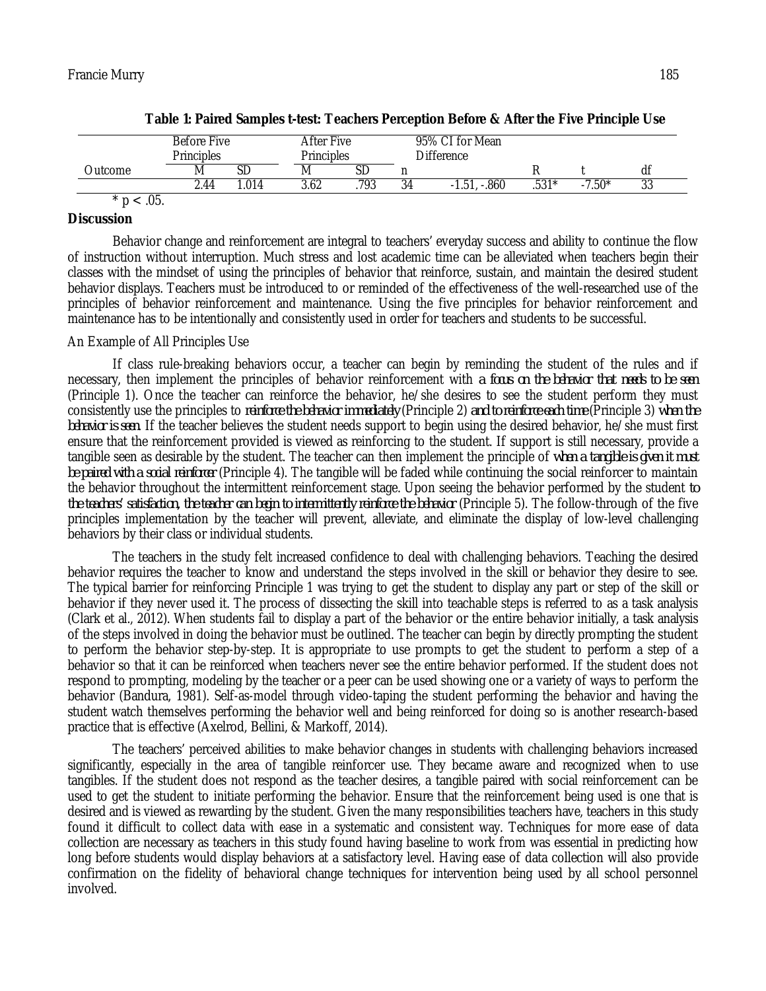|                | Before Five<br><b>Principles</b> |      | After Five<br><b>Principles</b> |      | 95% CI for Mean<br>Difference |              |         |          |           |
|----------------|----------------------------------|------|---------------------------------|------|-------------------------------|--------------|---------|----------|-----------|
| <b>Dutcome</b> | M                                |      | M                               |      |                               |              |         |          | df        |
|                | ـ 44∴                            | .014 | 3.62                            | .793 | 34                            | -.860<br>.51 | $.531*$ | $-7.50*$ | n n<br>აა |
| .05.           |                                  |      |                                 |      |                               |              |         |          |           |

### **Discussion**

Behavior change and reinforcement are integral to teachers' everyday success and ability to continue the flow of instruction without interruption. Much stress and lost academic time can be alleviated when teachers begin their classes with the mindset of using the principles of behavior that reinforce, sustain, and maintain the desired student behavior displays. Teachers must be introduced to or reminded of the effectiveness of the well-researched use of the principles of behavior reinforcement and maintenance. Using the five principles for behavior reinforcement and maintenance has to be intentionally and consistently used in order for teachers and students to be successful.

#### An Example of All Principles Use

If class rule-breaking behaviors occur, a teacher can begin by reminding the student of the rules and if necessary, then implement the principles of behavior reinforcement with *a focus on the behavior that needs to be seen*  (Principle 1). Once the teacher can reinforce the behavior, he/she desires to see the student perform they must consistently use the principles to *reinforce the behavior immediately* (Principle 2) *and to reinforce each time* (Principle 3) *when the behavior is seen*. If the teacher believes the student needs support to begin using the desired behavior, he/she must first ensure that the reinforcement provided is viewed as reinforcing to the student. If support is still necessary, provide a tangible seen as desirable by the student. The teacher can then implement the principle of *when a tangible is given it must be paired with a social reinforcer* (Principle 4). The tangible will be faded while continuing the social reinforcer to maintain the behavior throughout the intermittent reinforcement stage. Upon seeing the behavior performed by the student *to the teachers' satisfaction, the teacher can begin to intermittently reinforce the behavior* (Principle 5). The follow-through of the five principles implementation by the teacher will prevent, alleviate, and eliminate the display of low-level challenging behaviors by their class or individual students.

The teachers in the study felt increased confidence to deal with challenging behaviors. Teaching the desired behavior requires the teacher to know and understand the steps involved in the skill or behavior they desire to see. The typical barrier for reinforcing Principle 1 was trying to get the student to display any part or step of the skill or behavior if they never used it. The process of dissecting the skill into teachable steps is referred to as a task analysis (Clark et al., 2012). When students fail to display a part of the behavior or the entire behavior initially, a task analysis of the steps involved in doing the behavior must be outlined. The teacher can begin by directly prompting the student to perform the behavior step-by-step. It is appropriate to use prompts to get the student to perform a step of a behavior so that it can be reinforced when teachers never see the entire behavior performed. If the student does not respond to prompting, modeling by the teacher or a peer can be used showing one or a variety of ways to perform the behavior (Bandura, 1981). Self-as-model through video-taping the student performing the behavior and having the student watch themselves performing the behavior well and being reinforced for doing so is another research-based practice that is effective (Axelrod, Bellini, & Markoff, 2014).

The teachers' perceived abilities to make behavior changes in students with challenging behaviors increased significantly, especially in the area of tangible reinforcer use. They became aware and recognized when to use tangibles. If the student does not respond as the teacher desires, a tangible paired with social reinforcement can be used to get the student to initiate performing the behavior. Ensure that the reinforcement being used is one that is desired and is viewed as rewarding by the student. Given the many responsibilities teachers have, teachers in this study found it difficult to collect data with ease in a systematic and consistent way. Techniques for more ease of data collection are necessary as teachers in this study found having baseline to work from was essential in predicting how long before students would display behaviors at a satisfactory level. Having ease of data collection will also provide confirmation on the fidelity of behavioral change techniques for intervention being used by all school personnel involved.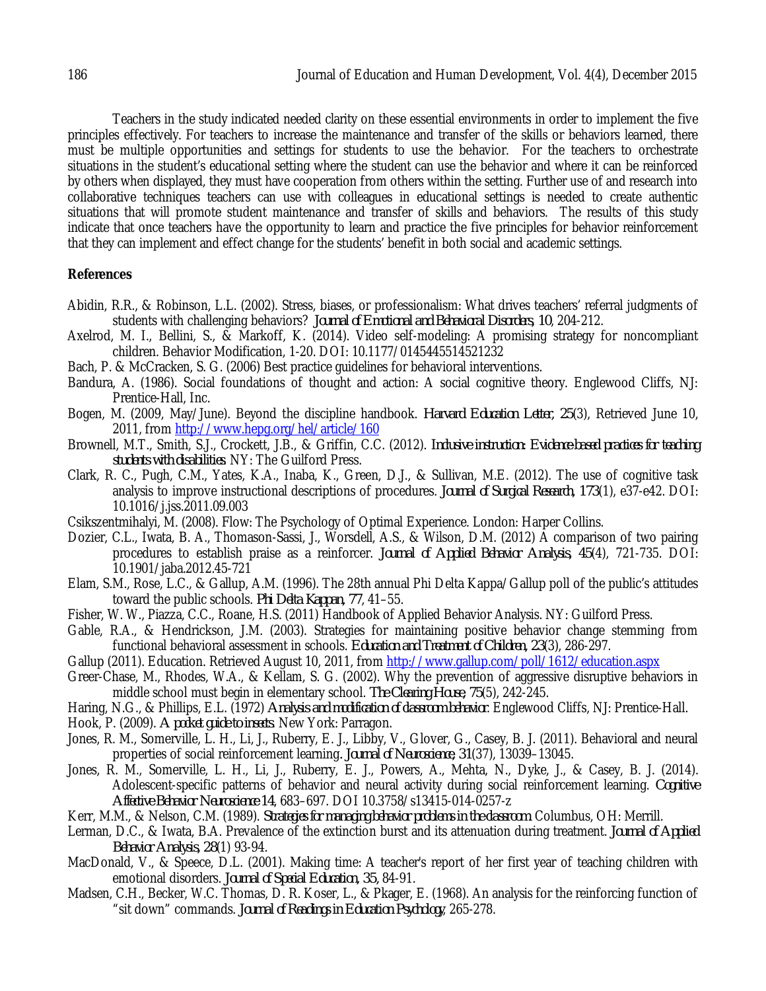Teachers in the study indicated needed clarity on these essential environments in order to implement the five principles effectively. For teachers to increase the maintenance and transfer of the skills or behaviors learned, there must be multiple opportunities and settings for students to use the behavior. For the teachers to orchestrate situations in the student's educational setting where the student can use the behavior and where it can be reinforced by others when displayed, they must have cooperation from others within the setting. Further use of and research into collaborative techniques teachers can use with colleagues in educational settings is needed to create authentic situations that will promote student maintenance and transfer of skills and behaviors. The results of this study indicate that once teachers have the opportunity to learn and practice the five principles for behavior reinforcement that they can implement and effect change for the students' benefit in both social and academic settings.

### **References**

- Abidin, R.R., & Robinson, L.L. (2002). Stress, biases, or professionalism: What drives teachers' referral judgments of students with challenging behaviors? *Journal of Emotional and Behavioral Disorders, 10*, 204-212.
- Axelrod, M. I., Bellini, S., & Markoff, K. (2014). Video self-modeling: A promising strategy for noncompliant children. Behavior Modification, 1-20. DOI: 10.1177/0145445514521232
- Bach, P. & McCracken, S. G. (2006) Best practice guidelines for behavioral interventions.
- Bandura, A. (1986). Social foundations of thought and action: A social cognitive theory. Englewood Cliffs, NJ: Prentice-Hall, Inc.
- Bogen, M. (2009, May/June). Beyond the discipline handbook. *Harvard Education Letter, 25*(3), Retrieved June 10, 2011, from http://www.hepg.org/hel/article/160
- Brownell, M.T., Smith, S.J., Crockett, J.B., & Griffin, C.C. (2012). *Inclusive instruction: Evidence-based practices for teaching students with disabilities*. NY: The Guilford Press.
- Clark, R. C., Pugh, C.M., Yates, K.A., Inaba, K., Green, D.J., & Sullivan, M.E. (2012). The use of cognitive task analysis to improve instructional descriptions of procedures. *Journal of Surgical Research, 173*(1), e37-e42. DOI: 10.1016/j.jss.2011.09.003
- Csikszentmihalyi, M. (2008). Flow: The Psychology of Optimal Experience. London: Harper Collins.
- Dozier, C.L., Iwata, B. A., Thomason-Sassi, J., Worsdell, A.S., & Wilson, D.M. (2012) A comparison of two pairing procedures to establish praise as a reinforcer. *Journal of Applied Behavior Analysis, 45*(4), 721-735. DOI: 10.1901/jaba.2012.45-721
- Elam, S.M., Rose, L.C., & Gallup, A.M. (1996). The 28th annual Phi Delta Kappa/Gallup poll of the public's attitudes toward the public schools. *Phi Delta Kappan, 77*, 41–55.
- Fisher, W. W., Piazza, C.C., Roane, H.S. (2011) Handbook of Applied Behavior Analysis. NY: Guilford Press.
- Gable, R.A., & Hendrickson, J.M. (2003). Strategies for maintaining positive behavior change stemming from functional behavioral assessment in schools. *Education and Treatment of Children, 23*(3), 286-297.
- Gallup (2011). Education. Retrieved August 10, 2011, from http://www.gallup.com/poll/1612/education.aspx
- Greer-Chase, M., Rhodes, W.A., & Kellam, S. G. (2002). Why the prevention of aggressive disruptive behaviors in middle school must begin in elementary school. *The Clearing House, 75*(5), 242-245.
- Haring, N.G., & Phillips, E.L. (1972) *Analysis and modification of classroom behavior*. Englewood Cliffs, NJ: Prentice-Hall.
- Hook, P. (2009). *A pocket guide to insects*. New York: Parragon.
- Jones, R. M., Somerville, L. H., Li, J., Ruberry, E. J., Libby, V., Glover, G., Casey, B. J. (2011). Behavioral and neural properties of social reinforcement learning*. Journal of Neuroscience, 31*(37), 13039–13045.
- Jones, R. M., Somerville, L. H., Li, J., Ruberry, E. J., Powers, A., Mehta, N., Dyke, J., & Casey, B. J. (2014). Adolescent-specific patterns of behavior and neural activity during social reinforcement learning. *Cognitive Affective Behavior Neuroscience 14*, 683–697. DOI 10.3758/s13415-014-0257-z
- Kerr, M.M., & Nelson, C.M. (1989). *Strategies for managing behavior problems in the classroom*. Columbus, OH: Merrill.
- Lerman, D.C., & Iwata, B.A. Prevalence of the extinction burst and its attenuation during treatment. *Journal of Applied Behavior Analysis, 28*(1) 93-94.
- MacDonald, V., & Speece, D.L. (2001). Making time: A teacher's report of her first year of teaching children with emotional disorders. *Journal of Special Education, 35,* 84-91.
- Madsen, C.H., Becker, W.C. Thomas, D. R. Koser, L., & Pkager, E. (1968). An analysis for the reinforcing function of "sit down" commands. *Journal of Readings in Education Psychology*, 265-278.